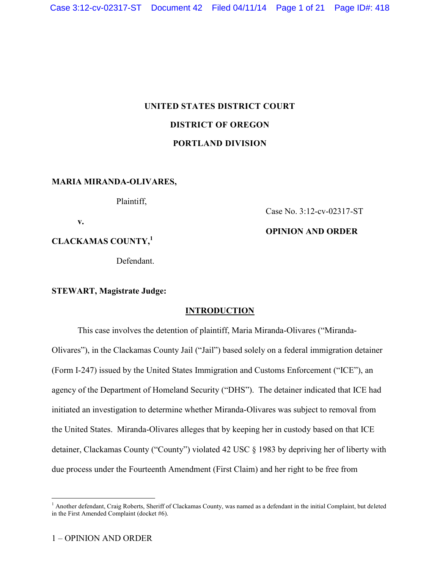# **UNITED STATES DISTRICT COURT DISTRICT OF OREGON PORTLAND DIVISION**

## **MARIA MIRANDA-OLIVARES,**

Plaintiff,

**v.**

**CLACKAMAS COUNTY, 1**

Defendant.

**STEWART, Magistrate Judge:**

# **INTRODUCTION**

This case involves the detention of plaintiff, Maria Miranda-Olivares ("Miranda-Olivares"), in the Clackamas County Jail ("Jail") based solely on a federal immigration detainer (Form I-247) issued by the United States Immigration and Customs Enforcement ("ICE"), an agency of the Department of Homeland Security ("DHS"). The detainer indicated that ICE had initiated an investigation to determine whether Miranda-Olivares was subject to removal from the United States. Miranda-Olivares alleges that by keeping her in custody based on that ICE detainer, Clackamas County ("County") violated 42 USC § 1983 by depriving her of liberty with due process under the Fourteenth Amendment (First Claim) and her right to be free from

 $\overline{a}$ 

Case No. 3:12-cv-02317-ST

# **OPINION AND ORDER**

<sup>&</sup>lt;sup>1</sup> Another defendant, Craig Roberts, Sheriff of Clackamas County, was named as a defendant in the initial Complaint, but deleted in the First Amended Complaint (docket #6).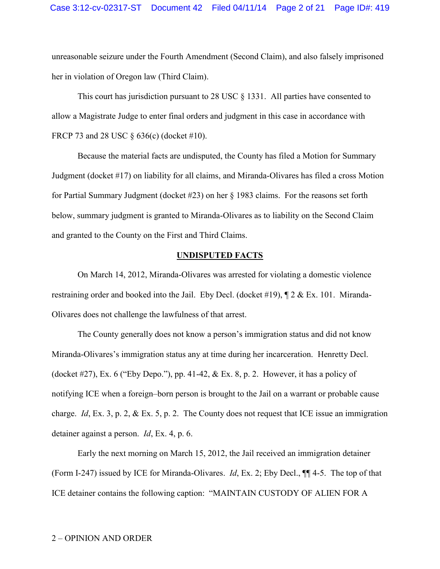unreasonable seizure under the Fourth Amendment (Second Claim), and also falsely imprisoned her in violation of Oregon law (Third Claim).

This court has jurisdiction pursuant to 28 USC § 1331. All parties have consented to allow a Magistrate Judge to enter final orders and judgment in this case in accordance with FRCP 73 and 28 USC § 636(c) (docket #10).

Because the material facts are undisputed, the County has filed a Motion for Summary Judgment (docket #17) on liability for all claims, and Miranda-Olivares has filed a cross Motion for Partial Summary Judgment (docket #23) on her § 1983 claims. For the reasons set forth below, summary judgment is granted to Miranda-Olivares as to liability on the Second Claim and granted to the County on the First and Third Claims.

### **UNDISPUTED FACTS**

On March 14, 2012, Miranda-Olivares was arrested for violating a domestic violence restraining order and booked into the Jail. Eby Decl. (docket #19), ¶ 2 & Ex. 101. Miranda-Olivares does not challenge the lawfulness of that arrest.

The County generally does not know a person's immigration status and did not know Miranda-Olivares's immigration status any at time during her incarceration. Henretty Decl. (docket #27), Ex. 6 ("Eby Depo."), pp. 41-42,  $& Ex. 8$ , p. 2. However, it has a policy of notifying ICE when a foreign–born person is brought to the Jail on a warrant or probable cause charge. *Id*, Ex. 3, p. 2, & Ex. 5, p. 2. The County does not request that ICE issue an immigration detainer against a person. *Id*, Ex. 4, p. 6.

Early the next morning on March 15, 2012, the Jail received an immigration detainer (Form I-247) issued by ICE for Miranda-Olivares. *Id*, Ex. 2; Eby Decl., ¶¶ 4-5. The top of that ICE detainer contains the following caption: "MAINTAIN CUSTODY OF ALIEN FOR A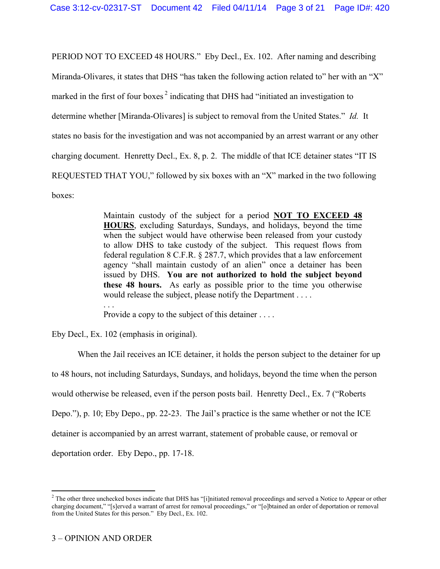PERIOD NOT TO EXCEED 48 HOURS." Eby Decl., Ex. 102. After naming and describing Miranda-Olivares, it states that DHS "has taken the following action related to" her with an "X" marked in the first of four boxes<sup>2</sup> indicating that DHS had "initiated an investigation to determine whether [Miranda-Olivares] is subject to removal from the United States." *Id.* It states no basis for the investigation and was not accompanied by an arrest warrant or any other charging document. Henretty Decl., Ex. 8, p. 2. The middle of that ICE detainer states "IT IS REQUESTED THAT YOU," followed by six boxes with an "X" marked in the two following boxes:

> Maintain custody of the subject for a period **NOT TO EXCEED 48 HOURS**, excluding Saturdays, Sundays, and holidays, beyond the time when the subject would have otherwise been released from your custody to allow DHS to take custody of the subject. This request flows from federal regulation 8 C.F.R. § 287.7, which provides that a law enforcement agency "shall maintain custody of an alien" once a detainer has been issued by DHS. **You are not authorized to hold the subject beyond these 48 hours.** As early as possible prior to the time you otherwise would release the subject, please notify the Department . . . . . . .

Provide a copy to the subject of this detainer . . . .

Eby Decl., Ex. 102 (emphasis in original).

When the Jail receives an ICE detainer, it holds the person subject to the detainer for up to 48 hours, not including Saturdays, Sundays, and holidays, beyond the time when the person would otherwise be released, even if the person posts bail. Henretty Decl., Ex. 7 ("Roberts Depo."), p. 10; Eby Depo., pp. 22-23. The Jail's practice is the same whether or not the ICE detainer is accompanied by an arrest warrant, statement of probable cause, or removal or deportation order. Eby Depo., pp. 17-18.

 $\overline{a}$ 

 $<sup>2</sup>$  The other three unchecked boxes indicate that DHS has "[i]nitiated removal proceedings and served a Notice to Appear or other</sup> charging document," "[s]erved a warrant of arrest for removal proceedings," or "[o]btained an order of deportation or removal from the United States for this person." Eby Decl., Ex. 102.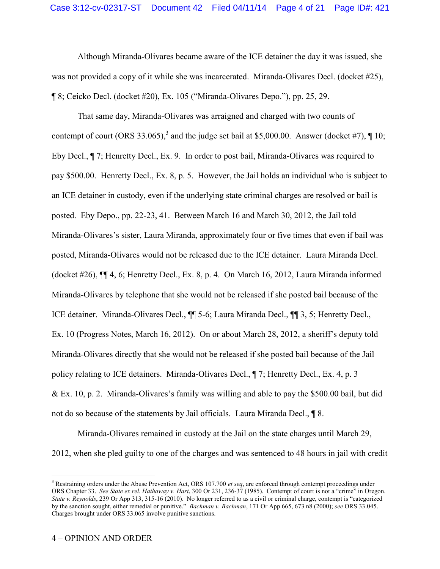Although Miranda-Olivares became aware of the ICE detainer the day it was issued, she was not provided a copy of it while she was incarcerated. Miranda-Olivares Decl. (docket #25), ¶ 8; Ceicko Decl. (docket #20), Ex. 105 ("Miranda-Olivares Depo."), pp. 25, 29.

That same day, Miranda-Olivares was arraigned and charged with two counts of contempt of court (ORS 33.065),<sup>3</sup> and the judge set bail at \$5,000.00. Answer (docket #7),  $\P$  10; Eby Decl., ¶ 7; Henretty Decl., Ex. 9. In order to post bail, Miranda-Olivares was required to pay \$500.00. Henretty Decl., Ex. 8, p. 5. However, the Jail holds an individual who is subject to an ICE detainer in custody, even if the underlying state criminal charges are resolved or bail is posted. Eby Depo., pp. 22-23, 41. Between March 16 and March 30, 2012, the Jail told Miranda-Olivares's sister, Laura Miranda, approximately four or five times that even if bail was posted, Miranda-Olivares would not be released due to the ICE detainer. Laura Miranda Decl. (docket #26), ¶¶ 4, 6; Henretty Decl., Ex. 8, p. 4. On March 16, 2012, Laura Miranda informed Miranda-Olivares by telephone that she would not be released if she posted bail because of the ICE detainer. Miranda-Olivares Decl., ¶¶ 5-6; Laura Miranda Decl., ¶¶ 3, 5; Henretty Decl., Ex. 10 (Progress Notes, March 16, 2012). On or about March 28, 2012, a sheriff's deputy told Miranda-Olivares directly that she would not be released if she posted bail because of the Jail policy relating to ICE detainers. Miranda-Olivares Decl., ¶ 7; Henretty Decl., Ex. 4, p. 3 & Ex. 10, p. 2. Miranda-Olivares's family was willing and able to pay the \$500.00 bail, but did not do so because of the statements by Jail officials. Laura Miranda Decl., ¶ 8.

Miranda-Olivares remained in custody at the Jail on the state charges until March 29, 2012, when she pled guilty to one of the charges and was sentenced to 48 hours in jail with credit

 $\overline{a}$ 

<sup>3</sup> Restraining orders under the Abuse Prevention Act, ORS 107.700 *et seq*, are enforced through contempt proceedings under ORS Chapter 33. *See State ex rel. Hathaway v. Hart*, 300 Or 231, 236-37 (1985). Contempt of court is not a "crime" in Oregon. *State v. Reynolds*, 239 Or App 313, 315-16 (2010). No longer referred to as a civil or criminal charge, contempt is "categorized by the sanction sought, either remedial or punitive." *Bachman v. Bachman*, 171 Or App 665, 673 n8 (2000); *see* ORS 33.045. Charges brought under ORS 33.065 involve punitive sanctions.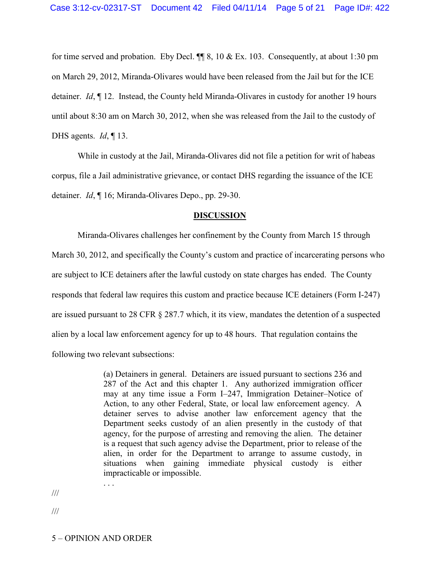for time served and probation. Eby Decl.  $\P\P$  8, 10 & Ex. 103. Consequently, at about 1:30 pm on March 29, 2012, Miranda-Olivares would have been released from the Jail but for the ICE detainer. *Id*, ¶ 12. Instead, the County held Miranda-Olivares in custody for another 19 hours until about 8:30 am on March 30, 2012, when she was released from the Jail to the custody of DHS agents. *Id*, ¶ 13.

While in custody at the Jail, Miranda-Olivares did not file a petition for writ of habeas corpus, file a Jail administrative grievance, or contact DHS regarding the issuance of the ICE detainer. *Id*, ¶ 16; Miranda-Olivares Depo., pp. 29-30.

#### **DISCUSSION**

Miranda-Olivares challenges her confinement by the County from March 15 through March 30, 2012, and specifically the County's custom and practice of incarcerating persons who are subject to ICE detainers after the lawful custody on state charges has ended. The County responds that federal law requires this custom and practice because ICE detainers (Form I-247) are issued pursuant to 28 CFR § 287.7 which, it its view, mandates the detention of a suspected alien by a local law enforcement agency for up to 48 hours. That regulation contains the following two relevant subsections:

> (a) Detainers in general. Detainers are issued pursuant to sections 236 and 287 of the Act and this chapter 1. Any authorized immigration officer may at any time issue a Form I–247, Immigration Detainer–Notice of Action, to any other Federal, State, or local law enforcement agency. A detainer serves to advise another law enforcement agency that the Department seeks custody of an alien presently in the custody of that agency, for the purpose of arresting and removing the alien. The detainer is a request that such agency advise the Department, prior to release of the alien, in order for the Department to arrange to assume custody, in situations when gaining immediate physical custody is either impracticable or impossible.

///

///

. . .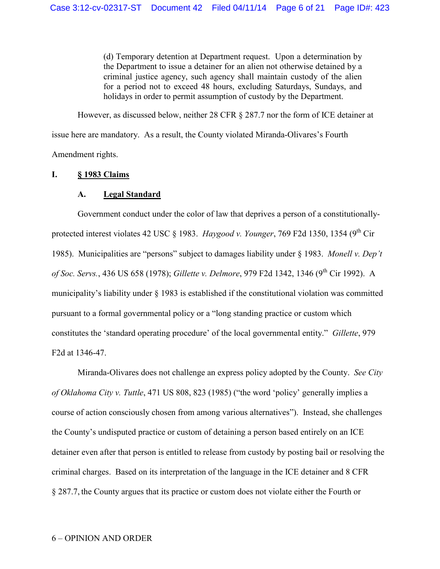(d) Temporary detention at Department request. Upon a determination by the Department to issue a detainer for an alien not otherwise detained by a criminal justice agency, such agency shall maintain custody of the alien for a period not to exceed 48 hours, excluding Saturdays, Sundays, and holidays in order to permit assumption of custody by the Department.

However, as discussed below, neither 28 CFR § 287.7 nor the form of ICE detainer at issue here are mandatory. As a result, the County violated Miranda-Olivares's Fourth Amendment rights.

### **I. § 1983 Claims**

# **A. Legal Standard**

Government conduct under the color of law that deprives a person of a constitutionallyprotected interest violates 42 USC  $\&$  1983. *Haygood v. Younger*, 769 F2d 1350, 1354 (9<sup>th</sup> Cir) 1985). Municipalities are "persons" subject to damages liability under § 1983. *Monell v. Dep't of Soc. Servs.*, 436 US 658 (1978); *Gillette v. Delmore*, 979 F2d 1342, 1346 (9th Cir 1992). A municipality's liability under § 1983 is established if the constitutional violation was committed pursuant to a formal governmental policy or a "long standing practice or custom which constitutes the 'standard operating procedure' of the local governmental entity." *Gillette*, 979 F2d at 1346-47.

Miranda-Olivares does not challenge an express policy adopted by the County. *See City of Oklahoma City v. Tuttle*, 471 US 808, 823 (1985) ("the word 'policy' generally implies a course of action consciously chosen from among various alternatives"). Instead, she challenges the County's undisputed practice or custom of detaining a person based entirely on an ICE detainer even after that person is entitled to release from custody by posting bail or resolving the criminal charges. Based on its interpretation of the language in the ICE detainer and 8 CFR § 287.7, the County argues that its practice or custom does not violate either the Fourth or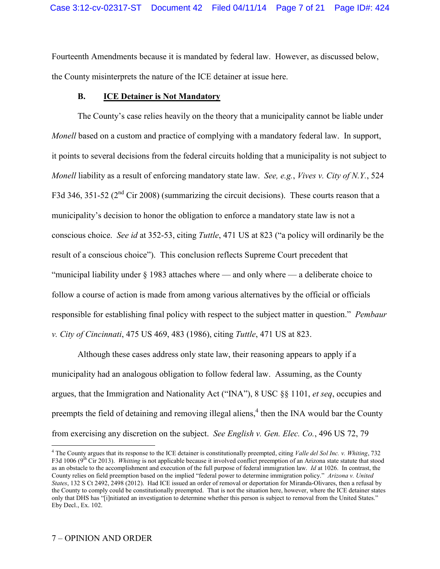Fourteenth Amendments because it is mandated by federal law. However, as discussed below, the County misinterprets the nature of the ICE detainer at issue here.

## **B. ICE Detainer is Not Mandatory**

The County's case relies heavily on the theory that a municipality cannot be liable under *Monell* based on a custom and practice of complying with a mandatory federal law. In support, it points to several decisions from the federal circuits holding that a municipality is not subject to *Monell* liability as a result of enforcing mandatory state law. *See, e.g.*, *Vives v. City of N.Y.*, 524 F3d 346, 351-52 ( $2<sup>nd</sup>$  Cir 2008) (summarizing the circuit decisions). These courts reason that a municipality's decision to honor the obligation to enforce a mandatory state law is not a conscious choice. *See id* at 352-53, citing *Tuttle*, 471 US at 823 ("a policy will ordinarily be the result of a conscious choice"). This conclusion reflects Supreme Court precedent that "municipal liability under § 1983 attaches where — and only where — a deliberate choice to follow a course of action is made from among various alternatives by the official or officials responsible for establishing final policy with respect to the subject matter in question." *Pembaur v. City of Cincinnati*, 475 US 469, 483 (1986), citing *Tuttle*, 471 US at 823.

Although these cases address only state law, their reasoning appears to apply if a municipality had an analogous obligation to follow federal law. Assuming, as the County argues, that the Immigration and Nationality Act ("INA"), 8 USC §§ 1101, *et seq*, occupies and preempts the field of detaining and removing illegal aliens,<sup>4</sup> then the INA would bar the County from exercising any discretion on the subject. *See English v. Gen. Elec. Co.*, 496 US 72, 79

 $\overline{a}$ 

<sup>4</sup> The County argues that its response to the ICE detainer is constitutionally preempted, citing *Valle del Sol Inc. v. Whiting*, 732 F3d 1006 (9<sup>th</sup> Cir 2013). *Whitting* is not applicable because it involved conflict preemption of an Arizona state statute that stood as an obstacle to the accomplishment and execution of the full purpose of federal immigration law. *Id* at 1026. In contrast, the County relies on field preemption based on the implied "federal power to determine immigration policy." *Arizona v. United States*, 132 S Ct 2492, 2498 (2012). Had ICE issued an order of removal or deportation for Miranda-Olivares, then a refusal by the County to comply could be constitutionally preempted. That is not the situation here, however, where the ICE detainer states only that DHS has "[i]nitiated an investigation to determine whether this person is subject to removal from the United States." Eby Decl., Ex. 102.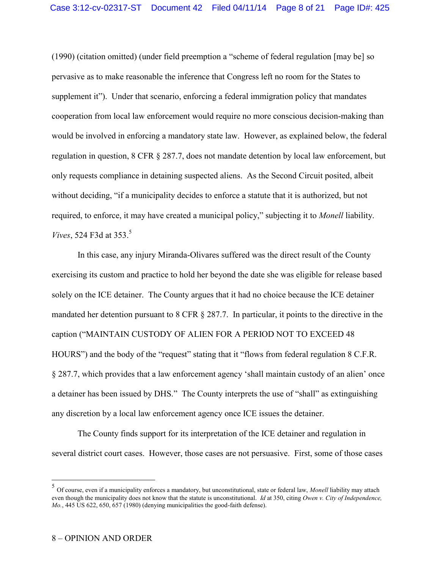(1990) (citation omitted) (under field preemption a "scheme of federal regulation [may be] so pervasive as to make reasonable the inference that Congress left no room for the States to supplement it"). Under that scenario, enforcing a federal immigration policy that mandates cooperation from local law enforcement would require no more conscious decision-making than would be involved in enforcing a mandatory state law. However, as explained below, the federal regulation in question, 8 CFR § 287.7, does not mandate detention by local law enforcement, but only requests compliance in detaining suspected aliens. As the Second Circuit posited, albeit without deciding, "if a municipality decides to enforce a statute that it is authorized, but not required, to enforce, it may have created a municipal policy," subjecting it to *Monell* liability. *Vives*, 524 F3d at 353.<sup>5</sup>

In this case, any injury Miranda-Olivares suffered was the direct result of the County exercising its custom and practice to hold her beyond the date she was eligible for release based solely on the ICE detainer. The County argues that it had no choice because the ICE detainer mandated her detention pursuant to 8 CFR § 287.7. In particular, it points to the directive in the caption ("MAINTAIN CUSTODY OF ALIEN FOR A PERIOD NOT TO EXCEED 48 HOURS") and the body of the "request" stating that it "flows from federal regulation 8 C.F.R. § 287.7, which provides that a law enforcement agency 'shall maintain custody of an alien' once a detainer has been issued by DHS." The County interprets the use of "shall" as extinguishing any discretion by a local law enforcement agency once ICE issues the detainer.

The County finds support for its interpretation of the ICE detainer and regulation in several district court cases. However, those cases are not persuasive. First, some of those cases

 $\overline{a}$ 

<sup>5</sup> Of course, even if a municipality enforces a mandatory, but unconstitutional, state or federal law, *Monell* liability may attach even though the municipality does not know that the statute is unconstitutional. *Id* at 350, citing *Owen v. City of Independence, Mo.*, 445 US 622, 650, 657 (1980) (denying municipalities the good-faith defense).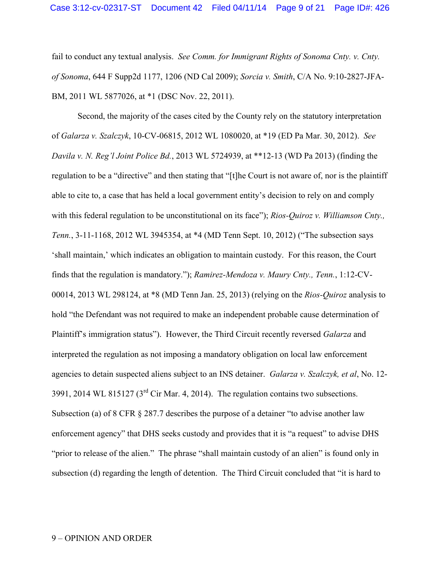fail to conduct any textual analysis. *See Comm. for Immigrant Rights of Sonoma Cnty. v. Cnty. of Sonoma*, 644 F Supp2d 1177, 1206 (ND Cal 2009); *Sorcia v. Smith*, C/A No. 9:10-2827-JFA-BM, 2011 WL 5877026, at \*1 (DSC Nov. 22, 2011).

Second, the majority of the cases cited by the County rely on the statutory interpretation of *Galarza v. Szalczyk*, 10-CV-06815, 2012 WL 1080020, at \*19 (ED Pa Mar. 30, 2012). *See Davila v. N. Reg'l Joint Police Bd.*, 2013 WL 5724939, at \*\*12-13 (WD Pa 2013) (finding the regulation to be a "directive" and then stating that "[t]he Court is not aware of, nor is the plaintiff able to cite to, a case that has held a local government entity's decision to rely on and comply with this federal regulation to be unconstitutional on its face"); *Rios-Ouiroz v. Williamson Cnty.*, *Tenn.*, 3-11-1168, 2012 WL 3945354, at \*4 (MD Tenn Sept. 10, 2012) ("The subsection says 'shall maintain,' which indicates an obligation to maintain custody. For this reason, the Court finds that the regulation is mandatory."); *Ramirez-Mendoza v. Maury Cnty., Tenn.*, 1:12-CV-00014, 2013 WL 298124, at \*8 (MD Tenn Jan. 25, 2013) (relying on the *Rios-Quiroz* analysis to hold "the Defendant was not required to make an independent probable cause determination of Plaintiff's immigration status"). However, the Third Circuit recently reversed *Galarza* and interpreted the regulation as not imposing a mandatory obligation on local law enforcement agencies to detain suspected aliens subject to an INS detainer. *Galarza v. Szalczyk, et al*, No. 12- 3991, 2014 WL 815127 ( $3<sup>rd</sup>$  Cir Mar. 4, 2014). The regulation contains two subsections. Subsection (a) of 8 CFR § 287.7 describes the purpose of a detainer "to advise another law enforcement agency" that DHS seeks custody and provides that it is "a request" to advise DHS "prior to release of the alien." The phrase "shall maintain custody of an alien" is found only in subsection (d) regarding the length of detention. The Third Circuit concluded that "it is hard to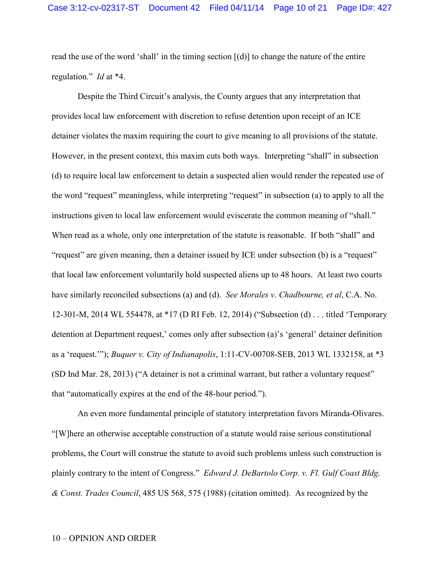read the use of the word 'shall' in the timing section [(d)] to change the nature of the entire regulation." *Id* at \*4.

Despite the Third Circuit's analysis, the County argues that any interpretation that provides local law enforcement with discretion to refuse detention upon receipt of an ICE detainer violates the maxim requiring the court to give meaning to all provisions of the statute. However, in the present context, this maxim cuts both ways. Interpreting "shall" in subsection (d) to require local law enforcement to detain a suspected alien would render the repeated use of the word "request" meaningless, while interpreting "request" in subsection (a) to apply to all the instructions given to local law enforcement would eviscerate the common meaning of "shall." When read as a whole, only one interpretation of the statute is reasonable. If both "shall" and "request" are given meaning, then a detainer issued by ICE under subsection (b) is a "request" that local law enforcement voluntarily hold suspected aliens up to 48 hours. At least two courts have similarly reconciled subsections (a) and (d). *See Morales v. Chadbourne, et al*, C.A. No. 12-301-M, 2014 WL 554478, at \*17 (D RI Feb. 12, 2014) ("Subsection (d) . . . titled 'Temporary detention at Department request,' comes only after subsection (a)'s 'general' detainer definition as a 'request.'"); *Buquer v. City of Indianapolis*, 1:11-CV-00708-SEB, 2013 WL 1332158, at \*3 (SD Ind Mar. 28, 2013) ("A detainer is not a criminal warrant, but rather a voluntary request" that "automatically expires at the end of the 48-hour period.").

An even more fundamental principle of statutory interpretation favors Miranda-Olivares. "[W]here an otherwise acceptable construction of a statute would raise serious constitutional problems, the Court will construe the statute to avoid such problems unless such construction is plainly contrary to the intent of Congress." *Edward J. DeBartolo Corp. v. Fl. Gulf Coast Bldg. & Const. Trades Council*, 485 US 568, 575 (1988) (citation omitted). As recognized by the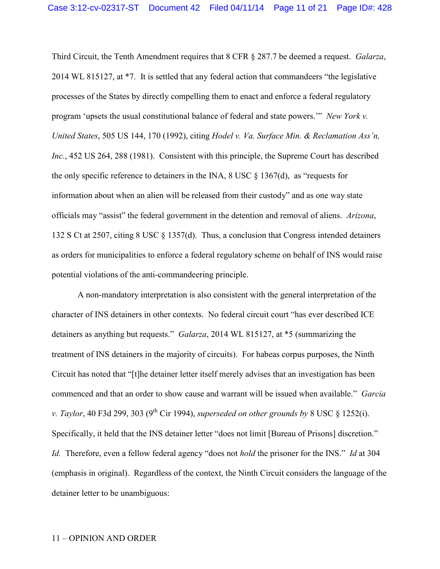Third Circuit, the Tenth Amendment requires that 8 CFR § 287.7 be deemed a request. *Galarza*, 2014 WL 815127, at \*7. It is settled that any federal action that commandeers "the legislative processes of the States by directly compelling them to enact and enforce a federal regulatory program 'upsets the usual constitutional balance of federal and state powers.'" *New York v. United States*, 505 US 144, 170 (1992), citing *Hodel v. Va. Surface Min. & Reclamation Ass'n, Inc.*, 452 US 264, 288 (1981). Consistent with this principle, the Supreme Court has described the only specific reference to detainers in the INA,  $8 \text{ USC} \$   $1367(d)$ , as "requests for information about when an alien will be released from their custody" and as one way state officials may "assist" the federal government in the detention and removal of aliens. *Arizona*, 132 S Ct at 2507, citing 8 USC § 1357(d). Thus, a conclusion that Congress intended detainers as orders for municipalities to enforce a federal regulatory scheme on behalf of INS would raise potential violations of the anti-commandeering principle.

A non-mandatory interpretation is also consistent with the general interpretation of the character of INS detainers in other contexts. No federal circuit court "has ever described ICE detainers as anything but requests." *Galarza*, 2014 WL 815127, at \*5 (summarizing the treatment of INS detainers in the majority of circuits). For habeas corpus purposes, the Ninth Circuit has noted that "[t]he detainer letter itself merely advises that an investigation has been commenced and that an order to show cause and warrant will be issued when available." *Garcia v. Taylor*, 40 F3d 299, 303 (9<sup>th</sup> Cir 1994), *superseded on other grounds by* 8 USC § 1252(i). Specifically, it held that the INS detainer letter "does not limit [Bureau of Prisons] discretion." *Id.* Therefore, even a fellow federal agency "does not *hold* the prisoner for the INS." *Id* at 304 (emphasis in original). Regardless of the context, the Ninth Circuit considers the language of the detainer letter to be unambiguous: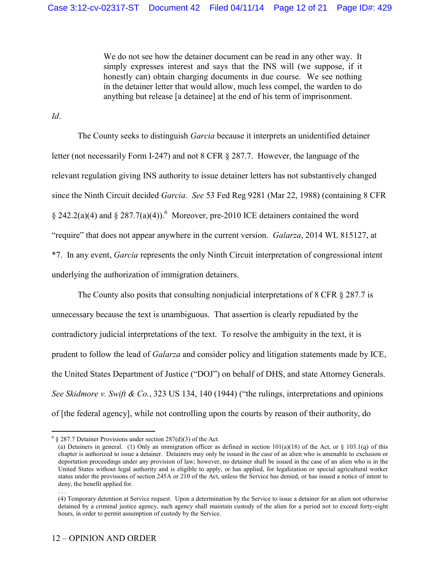We do not see how the detainer document can be read in any other way. It simply expresses interest and says that the INS will (we suppose, if it honestly can) obtain charging documents in due course. We see nothing in the detainer letter that would allow, much less compel, the warden to do anything but release [a detainee] at the end of his term of imprisonment.

*Id*.

 $\overline{a}$ 

. . .

The County seeks to distinguish *Garcia* because it interprets an unidentified detainer letter (not necessarily Form I-247) and not 8 CFR § 287.7. However, the language of the relevant regulation giving INS authority to issue detainer letters has not substantively changed since the Ninth Circuit decided *Garcia*. *See* 53 Fed Reg 9281 (Mar 22, 1988) (containing 8 CFR § 242.2(a)(4) and § 287.7(a)(4)). Moreover, pre-2010 ICE detainers contained the word "require" that does not appear anywhere in the current version. *Galarza*, 2014 WL 815127, at \*7. In any event, *Garcia* represents the only Ninth Circuit interpretation of congressional intent underlying the authorization of immigration detainers.

The County also posits that consulting nonjudicial interpretations of 8 CFR § 287.7 is unnecessary because the text is unambiguous. That assertion is clearly repudiated by the contradictory judicial interpretations of the text. To resolve the ambiguity in the text, it is prudent to follow the lead of *Galarza* and consider policy and litigation statements made by ICE, the United States Department of Justice ("DOJ") on behalf of DHS, and state Attorney Generals. *See Skidmore v. Swift & Co.*, 323 US 134, 140 (1944) ("the rulings, interpretations and opinions of [the federal agency], while not controlling upon the courts by reason of their authority, do

 $6 \S 287.7$  Detainer Provisions under section 287(d)(3) of the Act.

<sup>(</sup>a) Detainers in general. (1) Only an immigration officer as defined in section  $101(a)(18)$  of the Act, or § 103.1(q) of this chapter is authorized to issue a detainer. Detainers may only be issued in the case of an alien who is amenable to exclusion or deportation proceedings under any provision of law; however, no detainer shall be issued in the case of an alien who is in the United States without legal authority and is eligible to apply, or has applied, for legalization or special agricultural worker status under the provisions of section 245A or 210 of the Act, unless the Service has denied, or has issued a notice of intent to deny, the benefit applied for.

<sup>(4)</sup> Temporary detention at Service request. Upon a determination by the Service to issue a detainer for an alien not otherwise detained by a criminal justice agency, such agency shall maintain custody of the alien for a period not to exceed forty-eight hours, in order to permit assumption of custody by the Service.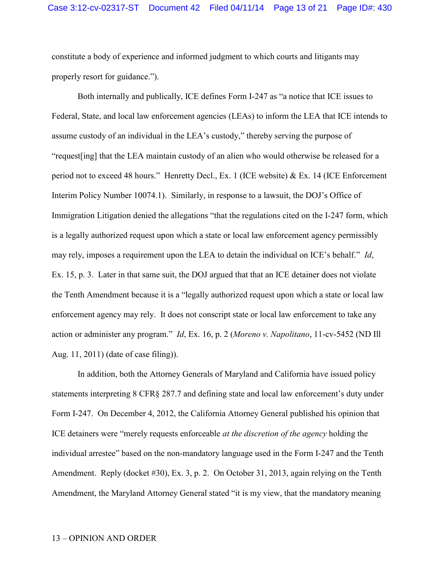constitute a body of experience and informed judgment to which courts and litigants may properly resort for guidance.").

Both internally and publically, ICE defines Form I-247 as "a notice that ICE issues to Federal, State, and local law enforcement agencies (LEAs) to inform the LEA that ICE intends to assume custody of an individual in the LEA's custody," thereby serving the purpose of "request[ing] that the LEA maintain custody of an alien who would otherwise be released for a period not to exceed 48 hours." Henretty Decl., Ex. 1 (ICE website) & Ex. 14 (ICE Enforcement Interim Policy Number 10074.1). Similarly, in response to a lawsuit, the DOJ's Office of Immigration Litigation denied the allegations "that the regulations cited on the I-247 form, which is a legally authorized request upon which a state or local law enforcement agency permissibly may rely, imposes a requirement upon the LEA to detain the individual on ICE's behalf." *Id*, Ex. 15, p. 3. Later in that same suit, the DOJ argued that that an ICE detainer does not violate the Tenth Amendment because it is a "legally authorized request upon which a state or local law enforcement agency may rely. It does not conscript state or local law enforcement to take any action or administer any program." *Id*, Ex. 16, p. 2 (*Moreno v. Napolitano*, 11-cv-5452 (ND Ill Aug. 11, 2011) (date of case filing)).

In addition, both the Attorney Generals of Maryland and California have issued policy statements interpreting 8 CFR§ 287.7 and defining state and local law enforcement's duty under Form I-247. On December 4, 2012, the California Attorney General published his opinion that ICE detainers were "merely requests enforceable *at the discretion of the agency* holding the individual arrestee" based on the non-mandatory language used in the Form I-247 and the Tenth Amendment. Reply (docket #30), Ex. 3, p. 2. On October 31, 2013, again relying on the Tenth Amendment, the Maryland Attorney General stated "it is my view, that the mandatory meaning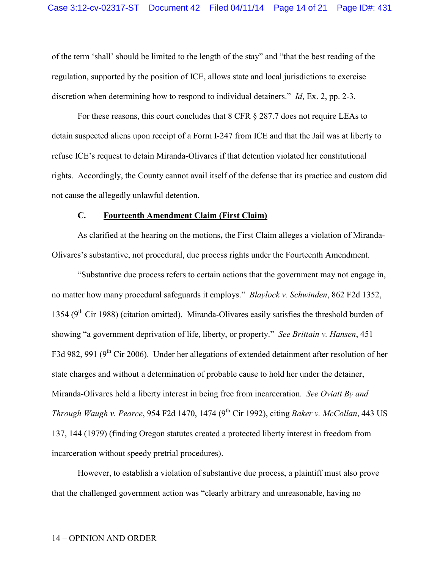of the term 'shall' should be limited to the length of the stay" and "that the best reading of the regulation, supported by the position of ICE, allows state and local jurisdictions to exercise discretion when determining how to respond to individual detainers." *Id*, Ex. 2, pp. 2-3.

For these reasons, this court concludes that 8 CFR § 287.7 does not require LEAs to detain suspected aliens upon receipt of a Form I-247 from ICE and that the Jail was at liberty to refuse ICE's request to detain Miranda-Olivares if that detention violated her constitutional rights. Accordingly, the County cannot avail itself of the defense that its practice and custom did not cause the allegedly unlawful detention.

## **C. Fourteenth Amendment Claim (First Claim)**

As clarified at the hearing on the motions**,** the First Claim alleges a violation of Miranda-Olivares's substantive, not procedural, due process rights under the Fourteenth Amendment.

"Substantive due process refers to certain actions that the government may not engage in, no matter how many procedural safeguards it employs." *Blaylock v. Schwinden*, 862 F2d 1352, 1354 ( $9<sup>th</sup>$  Cir 1988) (citation omitted). Miranda-Olivares easily satisfies the threshold burden of showing "a government deprivation of life, liberty, or property." *See Brittain v. Hansen*, 451 F3d 982, 991 (9<sup>th</sup> Cir 2006). Under her allegations of extended detainment after resolution of her state charges and without a determination of probable cause to hold her under the detainer, Miranda-Olivares held a liberty interest in being free from incarceration. *See Oviatt By and Through Waugh v. Pearce*, 954 F2d 1470, 1474 (9<sup>th</sup> Cir 1992), citing *Baker v. McCollan*, 443 US 137, 144 (1979) (finding Oregon statutes created a protected liberty interest in freedom from incarceration without speedy pretrial procedures).

However, to establish a violation of substantive due process, a plaintiff must also prove that the challenged government action was "clearly arbitrary and unreasonable, having no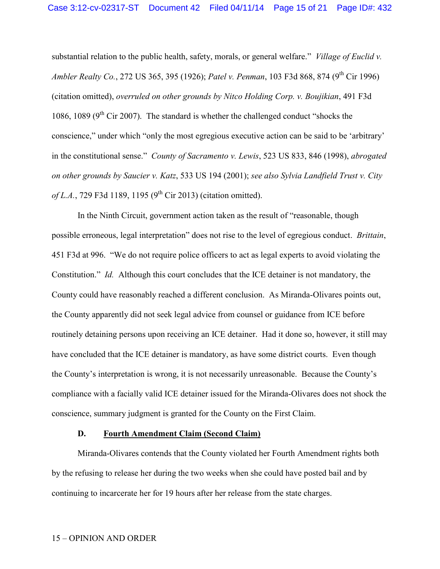substantial relation to the public health, safety, morals, or general welfare." *Village of Euclid v. Ambler Realty Co.*, 272 US 365, 395 (1926); *Patel v. Penman*, 103 F3d 868, 874 (9 th Cir 1996) (citation omitted), *overruled on other grounds by Nitco Holding Corp. v. Boujikian*, 491 F3d 1086, 1089 ( $9<sup>th</sup>$  Cir 2007). The standard is whether the challenged conduct "shocks the conscience," under which "only the most egregious executive action can be said to be 'arbitrary' in the constitutional sense." *County of Sacramento v. Lewis*, 523 US 833, 846 (1998), *abrogated on other grounds by Saucier v. Katz*, 533 US 194 (2001); *see also Sylvia Landfield Trust v. City*  of L.A., 729 F3d 1189, 1195 (9<sup>th</sup> Cir 2013) (citation omitted).

In the Ninth Circuit, government action taken as the result of "reasonable, though possible erroneous, legal interpretation" does not rise to the level of egregious conduct. *Brittain*, 451 F3d at 996. "We do not require police officers to act as legal experts to avoid violating the Constitution." *Id.* Although this court concludes that the ICE detainer is not mandatory, the County could have reasonably reached a different conclusion. As Miranda-Olivares points out, the County apparently did not seek legal advice from counsel or guidance from ICE before routinely detaining persons upon receiving an ICE detainer. Had it done so, however, it still may have concluded that the ICE detainer is mandatory, as have some district courts. Even though the County's interpretation is wrong, it is not necessarily unreasonable. Because the County's compliance with a facially valid ICE detainer issued for the Miranda-Olivares does not shock the conscience, summary judgment is granted for the County on the First Claim.

### **D. Fourth Amendment Claim (Second Claim)**

Miranda-Olivares contends that the County violated her Fourth Amendment rights both by the refusing to release her during the two weeks when she could have posted bail and by continuing to incarcerate her for 19 hours after her release from the state charges.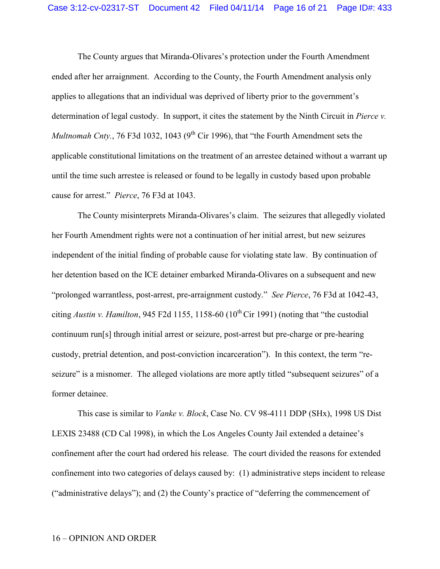The County argues that Miranda-Olivares's protection under the Fourth Amendment ended after her arraignment. According to the County, the Fourth Amendment analysis only applies to allegations that an individual was deprived of liberty prior to the government's determination of legal custody. In support, it cites the statement by the Ninth Circuit in *Pierce v. Multnomah Cnty.*, 76 F3d 1032, 1043 (9<sup>th</sup> Cir 1996), that "the Fourth Amendment sets the applicable constitutional limitations on the treatment of an arrestee detained without a warrant up until the time such arrestee is released or found to be legally in custody based upon probable cause for arrest." *Pierce*, 76 F3d at 1043.

The County misinterprets Miranda-Olivares's claim. The seizures that allegedly violated her Fourth Amendment rights were not a continuation of her initial arrest, but new seizures independent of the initial finding of probable cause for violating state law. By continuation of her detention based on the ICE detainer embarked Miranda-Olivares on a subsequent and new "prolonged warrantless, post-arrest, pre-arraignment custody." *See Pierce*, 76 F3d at 1042-43, citing *Austin v. Hamilton*, 945 F2d 1155, 1158-60 ( $10^{th}$ Cir 1991) (noting that "the custodial continuum run[s] through initial arrest or seizure, post-arrest but pre-charge or pre-hearing custody, pretrial detention, and post-conviction incarceration"). In this context, the term "reseizure" is a misnomer. The alleged violations are more aptly titled "subsequent seizures" of a former detainee.

This case is similar to *Vanke v. Block*, Case No. CV 98-4111 DDP (SHx), 1998 US Dist LEXIS 23488 (CD Cal 1998), in which the Los Angeles County Jail extended a detainee's confinement after the court had ordered his release. The court divided the reasons for extended confinement into two categories of delays caused by: (1) administrative steps incident to release ("administrative delays"); and (2) the County's practice of "deferring the commencement of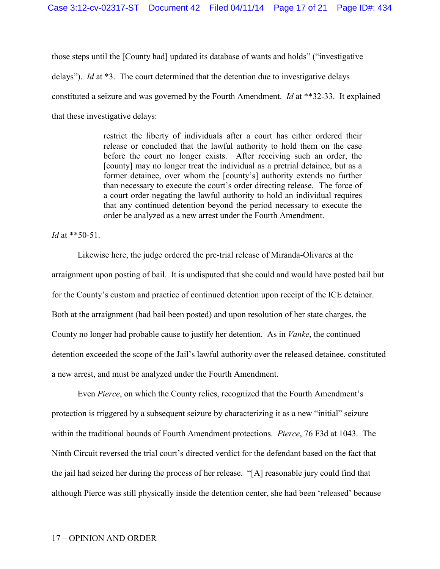those steps until the [County had] updated its database of wants and holds" ("investigative delays"). *Id* at \*3. The court determined that the detention due to investigative delays constituted a seizure and was governed by the Fourth Amendment. *Id* at \*\*32-33. It explained that these investigative delays:

> restrict the liberty of individuals after a court has either ordered their release or concluded that the lawful authority to hold them on the case before the court no longer exists. After receiving such an order, the [county] may no longer treat the individual as a pretrial detainee, but as a former detainee, over whom the [county's] authority extends no further than necessary to execute the court's order directing release. The force of a court order negating the lawful authority to hold an individual requires that any continued detention beyond the period necessary to execute the order be analyzed as a new arrest under the Fourth Amendment.

*Id* at \*\*50-51.

Likewise here, the judge ordered the pre-trial release of Miranda-Olivares at the arraignment upon posting of bail. It is undisputed that she could and would have posted bail but for the County's custom and practice of continued detention upon receipt of the ICE detainer. Both at the arraignment (had bail been posted) and upon resolution of her state charges, the County no longer had probable cause to justify her detention. As in *Vanke*, the continued detention exceeded the scope of the Jail's lawful authority over the released detainee, constituted a new arrest, and must be analyzed under the Fourth Amendment.

Even *Pierce*, on which the County relies, recognized that the Fourth Amendment's protection is triggered by a subsequent seizure by characterizing it as a new "initial" seizure within the traditional bounds of Fourth Amendment protections. *Pierce*, 76 F3d at 1043. The Ninth Circuit reversed the trial court's directed verdict for the defendant based on the fact that the jail had seized her during the process of her release. "[A] reasonable jury could find that although Pierce was still physically inside the detention center, she had been 'released' because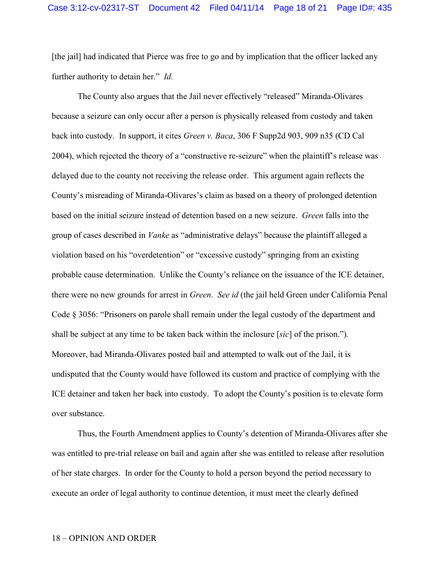[the jail] had indicated that Pierce was free to go and by implication that the officer lacked any further authority to detain her." *Id.*

The County also argues that the Jail never effectively "released" Miranda-Olivares because a seizure can only occur after a person is physically released from custody and taken back into custody. In support, it cites *Green v. Baca*, 306 F Supp2d 903, 909 n35 (CD Cal 2004), which rejected the theory of a "constructive re-seizure" when the plaintiff's release was delayed due to the county not receiving the release order. This argument again reflects the County's misreading of Miranda-Olivares's claim as based on a theory of prolonged detention based on the initial seizure instead of detention based on a new seizure. *Green* falls into the group of cases described in *Vanke* as "administrative delays" because the plaintiff alleged a violation based on his "overdetention" or "excessive custody" springing from an existing probable cause determination. Unlike the County's reliance on the issuance of the ICE detainer, there were no new grounds for arrest in *Green*. *See id* (the jail held Green under California Penal Code § 3056: "Prisoners on parole shall remain under the legal custody of the department and shall be subject at any time to be taken back within the inclosure [*sic*] of the prison.")*.* Moreover, had Miranda-Olivares posted bail and attempted to walk out of the Jail, it is undisputed that the County would have followed its custom and practice of complying with the ICE detainer and taken her back into custody. To adopt the County's position is to elevate form over substance.

Thus, the Fourth Amendment applies to County's detention of Miranda-Olivares after she was entitled to pre-trial release on bail and again after she was entitled to release after resolution of her state charges. In order for the County to hold a person beyond the period necessary to execute an order of legal authority to continue detention, it must meet the clearly defined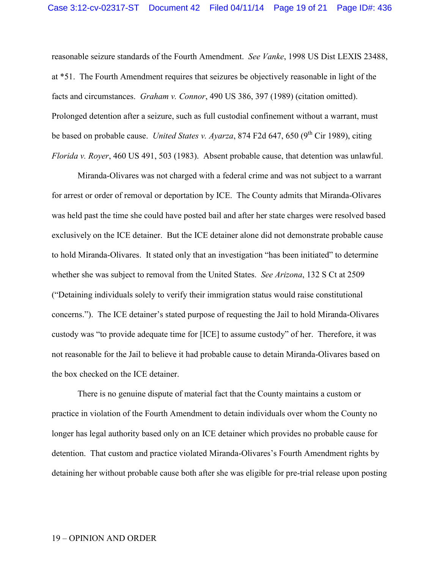reasonable seizure standards of the Fourth Amendment. *See Vanke*, 1998 US Dist LEXIS 23488, at \*51. The Fourth Amendment requires that seizures be objectively reasonable in light of the facts and circumstances. *Graham v. Connor*, 490 US 386, 397 (1989) (citation omitted). Prolonged detention after a seizure, such as full custodial confinement without a warrant, must be based on probable cause. *United States v. Ayarza*, 874 F2d 647, 650 (9<sup>th</sup> Cir 1989), citing *Florida v. Royer*, 460 US 491, 503 (1983). Absent probable cause, that detention was unlawful.

Miranda-Olivares was not charged with a federal crime and was not subject to a warrant for arrest or order of removal or deportation by ICE. The County admits that Miranda-Olivares was held past the time she could have posted bail and after her state charges were resolved based exclusively on the ICE detainer. But the ICE detainer alone did not demonstrate probable cause to hold Miranda-Olivares. It stated only that an investigation "has been initiated" to determine whether she was subject to removal from the United States. *See Arizona*, 132 S Ct at 2509 ("Detaining individuals solely to verify their immigration status would raise constitutional concerns."). The ICE detainer's stated purpose of requesting the Jail to hold Miranda-Olivares custody was "to provide adequate time for [ICE] to assume custody" of her. Therefore, it was not reasonable for the Jail to believe it had probable cause to detain Miranda-Olivares based on the box checked on the ICE detainer.

There is no genuine dispute of material fact that the County maintains a custom or practice in violation of the Fourth Amendment to detain individuals over whom the County no longer has legal authority based only on an ICE detainer which provides no probable cause for detention. That custom and practice violated Miranda-Olivares's Fourth Amendment rights by detaining her without probable cause both after she was eligible for pre-trial release upon posting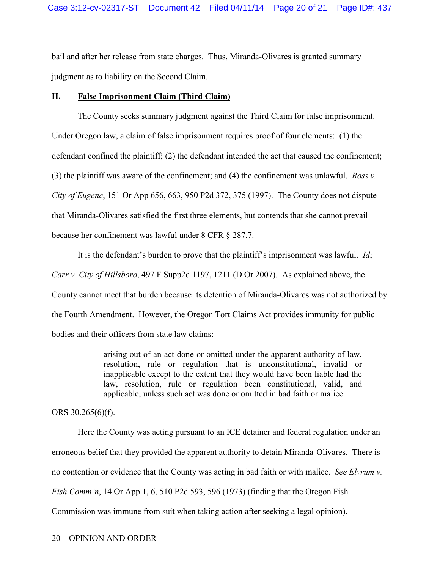bail and after her release from state charges. Thus, Miranda-Olivares is granted summary judgment as to liability on the Second Claim.

# **II. False Imprisonment Claim (Third Claim)**

The County seeks summary judgment against the Third Claim for false imprisonment. Under Oregon law, a claim of false imprisonment requires proof of four elements: (1) the defendant confined the plaintiff; (2) the defendant intended the act that caused the confinement; (3) the plaintiff was aware of the confinement; and (4) the confinement was unlawful. *Ross v. City of Eugene*, 151 Or App 656, 663, 950 P2d 372, 375 (1997). The County does not dispute that Miranda-Olivares satisfied the first three elements, but contends that she cannot prevail because her confinement was lawful under 8 CFR § 287.7.

It is the defendant's burden to prove that the plaintiff's imprisonment was lawful. *Id*; *Carr v. City of Hillsboro*, 497 F Supp2d 1197, 1211 (D Or 2007). As explained above, the County cannot meet that burden because its detention of Miranda-Olivares was not authorized by the Fourth Amendment. However, the Oregon Tort Claims Act provides immunity for public bodies and their officers from state law claims:

> arising out of an act done or omitted under the apparent authority of law, resolution, rule or regulation that is unconstitutional, invalid or inapplicable except to the extent that they would have been liable had the law, resolution, rule or regulation been constitutional, valid, and applicable, unless such act was done or omitted in bad faith or malice.

ORS 30.265(6)(f).

Here the County was acting pursuant to an ICE detainer and federal regulation under an erroneous belief that they provided the apparent authority to detain Miranda-Olivares. There is no contention or evidence that the County was acting in bad faith or with malice. *See Elvrum v. Fish Comm'n*, 14 Or App 1, 6, 510 P2d 593, 596 (1973) (finding that the Oregon Fish Commission was immune from suit when taking action after seeking a legal opinion).